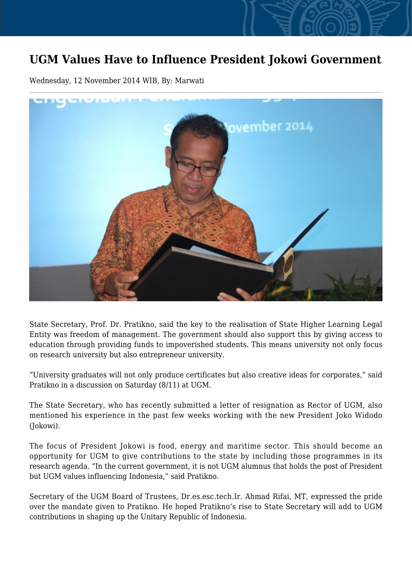## **UGM Values Have to Influence President Jokowi Government**

Wednesday, 12 November 2014 WIB, By: Marwati



State Secretary, Prof. Dr. Pratikno, said the key to the realisation of State Higher Learning Legal Entity was freedom of management. The government should also support this by giving access to education through providing funds to impoverished students. This means university not only focus on research university but also entrepreneur university.

"University graduates will not only produce certificates but also creative ideas for corporates," said Pratikno in a discussion on Saturday (8/11) at UGM.

The State Secretary, who has recently submitted a letter of resignation as Rector of UGM, also mentioned his experience in the past few weeks working with the new President Joko Widodo (Jokowi).

The focus of President Jokowi is food, energy and maritime sector. This should become an opportunity for UGM to give contributions to the state by including those programmes in its research agenda. "In the current government, it is not UGM alumnus that holds the post of President but UGM values influencing Indonesia," said Pratikno.

Secretary of the UGM Board of Trustees, Dr.es.esc.tech.Ir. Ahmad Rifai, MT, expressed the pride over the mandate given to Pratikno. He hoped Pratikno's rise to State Secretary will add to UGM contributions in shaping up the Unitary Republic of Indonesia.